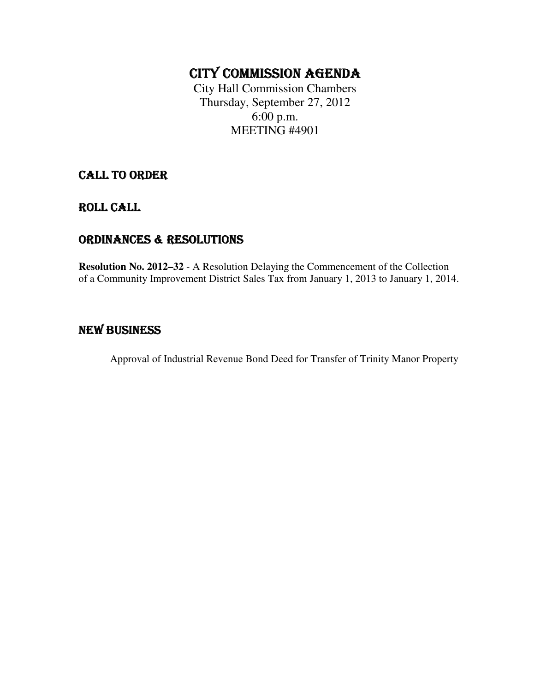# CITY COMMISSION AGENDA

City Hall Commission Chambers Thursday, September 27, 2012 6:00 p.m. MEETING #4901

## CALL TO ORDER

ROLL CALL

### ORDINANCES & RESOLUTIONS

**Resolution No. 2012–32** - A Resolution Delaying the Commencement of the Collection of a Community Improvement District Sales Tax from January 1, 2013 to January 1, 2014.

## NEW BUSINESS

Approval of Industrial Revenue Bond Deed for Transfer of Trinity Manor Property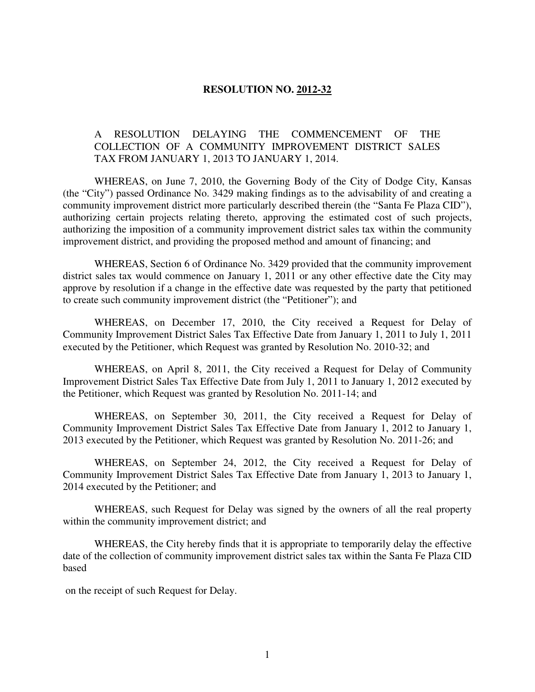#### **RESOLUTION NO. 2012-32**

#### A RESOLUTION DELAYING THE COMMENCEMENT OF THE COLLECTION OF A COMMUNITY IMPROVEMENT DISTRICT SALES TAX FROM JANUARY 1, 2013 TO JANUARY 1, 2014.

 WHEREAS, on June 7, 2010, the Governing Body of the City of Dodge City, Kansas (the "City") passed Ordinance No. 3429 making findings as to the advisability of and creating a community improvement district more particularly described therein (the "Santa Fe Plaza CID"), authorizing certain projects relating thereto, approving the estimated cost of such projects, authorizing the imposition of a community improvement district sales tax within the community improvement district, and providing the proposed method and amount of financing; and

 WHEREAS, Section 6 of Ordinance No. 3429 provided that the community improvement district sales tax would commence on January 1, 2011 or any other effective date the City may approve by resolution if a change in the effective date was requested by the party that petitioned to create such community improvement district (the "Petitioner"); and

 WHEREAS, on December 17, 2010, the City received a Request for Delay of Community Improvement District Sales Tax Effective Date from January 1, 2011 to July 1, 2011 executed by the Petitioner, which Request was granted by Resolution No. 2010-32; and

 WHEREAS, on April 8, 2011, the City received a Request for Delay of Community Improvement District Sales Tax Effective Date from July 1, 2011 to January 1, 2012 executed by the Petitioner, which Request was granted by Resolution No. 2011-14; and

 WHEREAS, on September 30, 2011, the City received a Request for Delay of Community Improvement District Sales Tax Effective Date from January 1, 2012 to January 1, 2013 executed by the Petitioner, which Request was granted by Resolution No. 2011-26; and

 WHEREAS, on September 24, 2012, the City received a Request for Delay of Community Improvement District Sales Tax Effective Date from January 1, 2013 to January 1, 2014 executed by the Petitioner; and

 WHEREAS, such Request for Delay was signed by the owners of all the real property within the community improvement district; and

 WHEREAS, the City hereby finds that it is appropriate to temporarily delay the effective date of the collection of community improvement district sales tax within the Santa Fe Plaza CID based

on the receipt of such Request for Delay.